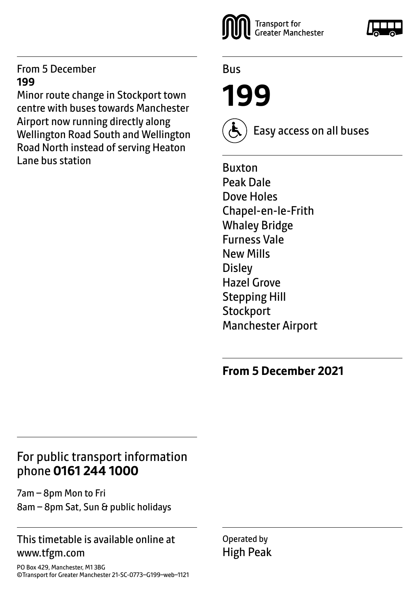#### From 5 December **199**

Minor route change in Stockport town centre with buses towards Manchester Airport now running directly along Wellington Road South and Wellington Road North instead of serving Heaton Lane bus station



Bus

**199**

Easy access on all buses

Buxton Peak Dale Dove Holes Chapel-en-le-Frith Whaley Bridge Furness Vale New Mills **Disley** Hazel Grove Stepping Hill **Stockport** Manchester Airport

### **From 5 December 2021**

### For public transport information phone **0161 244 1000**

7am – 8pm Mon to Fri 8am – 8pm Sat, Sun & public holidays

#### This timetable is available online at www.tfgm.com

Operated by High Peak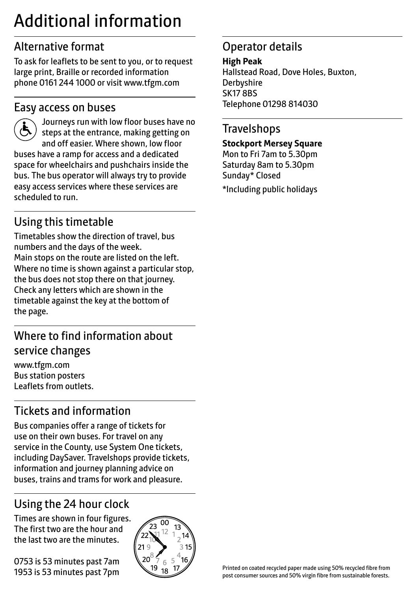# Additional information

# Alternative format

To ask for leaflets to be sent to you, or to request large print, Braille or recorded information phone 0161 244 1000 or visit www.tfgm.com

### Easy access on buses



 Journeys run with low floor buses have no steps at the entrance, making getting on and off easier. Where shown, low floor buses have a ramp for access and a dedicated space for wheelchairs and pushchairs inside the bus. The bus operator will always try to provide easy access services where these services are scheduled to run.

# Using this timetable

Timetables show the direction of travel, bus numbers and the days of the week. Main stops on the route are listed on the left. Where no time is shown against a particular stop, the bus does not stop there on that journey. Check any letters which are shown in the timetable against the key at the bottom of the page.

# Where to find information about service changes

www.tfgm.com Bus station posters Leaflets from outlets.

# Tickets and information

Bus companies offer a range of tickets for use on their own buses. For travel on any service in the County, use System One tickets, including DaySaver. Travelshops provide tickets, information and journey planning advice on buses, trains and trams for work and pleasure.

# Using the 24 hour clock

Times are shown in four figures. The first two are the hour and the last two are the minutes.

0753 is 53 minutes past 7am 1953 is 53 minutes past 7pm



# Operator details

**High Peak** Hallstead Road, Dove Holes, Buxton, **Derbyshire** SK17 8BS Telephone 01298 814030

### **Travelshops**

**Stockport Mersey Square**

Mon to Fri 7am to 5.30pm Saturday 8am to 5.30pm Sunday\* Closed \*Including public holidays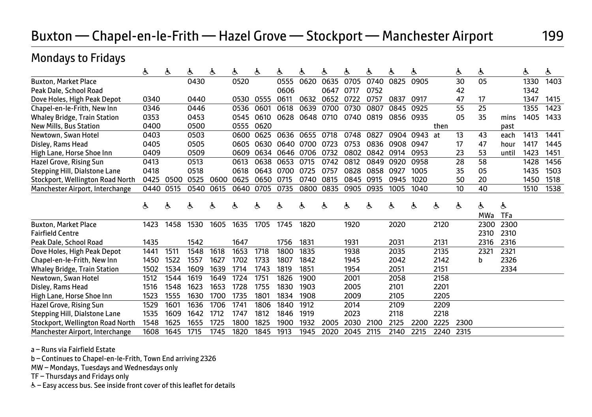### Buxton — Chapel-en-le-Frith — Hazel Grove — Stockport — Manchester Airport 199

### Mondays to Fridays

|                                     | Ġ.   | Ġ.   | ė.   | Ġ.   | ė.   | Ġ.   | ė.   | Ġ.   | Ġ.   | ė.   | Ġ.   | Ġ.   | Ġ.   |      | Ġ.   | ė.         |            | Ġ.   | ė.   |
|-------------------------------------|------|------|------|------|------|------|------|------|------|------|------|------|------|------|------|------------|------------|------|------|
| <b>Buxton, Market Place</b>         |      |      | 0430 |      | 0520 |      | 0555 | 0620 | 0635 | 0705 | 0740 | 0825 | 0905 |      | 30   | 05         |            | 1330 | 1403 |
| Peak Dale, School Road              |      |      |      |      |      |      | 0606 |      | 0647 | 0717 | 0752 |      |      |      | 42   |            |            | 1342 |      |
| Dove Holes, High Peak Depot         | 0340 |      | 0440 |      | 0530 | 0555 | 0611 | 0632 | 0652 | 0722 | 0757 | 0837 | 0917 |      | 47   | 17         |            | 1347 | 1415 |
| Chapel-en-le-Frith, New Inn         | 0346 |      | 0446 |      | 0536 | 0601 | 0618 | 0639 | 0700 | 0730 | 0807 | 0845 | 0925 |      | 55   | 25         |            | 1355 | 1423 |
| <b>Whaley Bridge, Train Station</b> | 0353 |      | 0453 |      | 0545 | 0610 | 0628 | 0648 | 0710 | 0740 | 0819 | 0856 | 0935 |      | 05   | 35         | mins       | 1405 | 1433 |
| <b>New Mills, Bus Station</b>       | 0400 |      | 0500 |      | 0555 | 0620 |      |      |      |      |      |      |      | then |      |            | past       |      |      |
| Newtown, Swan Hotel                 | 0403 |      | 0503 |      | 0600 | 0625 | 0636 | 0655 | 0718 | 0748 | 0827 | 0904 | 0943 | at   | 13   | 43         | each       | 1413 | 1441 |
| Disley, Rams Head                   | 0405 |      | 0505 |      | 0605 | 0630 | 0640 | 0700 | 0723 | 0753 | 0836 | 0908 | 0947 |      | 17   | 47         | hour       | 1417 | 1445 |
| High Lane, Horse Shoe Inn           | 0409 |      | 0509 |      | 0609 | 0634 | 0646 | 0706 | 0732 | 0802 | 0842 | 0914 | 0953 |      | 23   | 53         | until      | 1423 | 1451 |
| Hazel Grove, Rising Sun             | 0413 |      | 0513 |      | 0613 | 0638 | 0653 | 0715 | 0742 | 0812 | 0849 | 0920 | 0958 |      | 28   | 58         |            | 1428 | 1456 |
| Stepping Hill, Dialstone Lane       | 0418 |      | 0518 |      | 0618 | 0643 | 0700 | 0725 | 0757 | 0828 | 0858 | 0927 | 1005 |      | 35   | 05         |            | 1435 | 1503 |
| Stockport, Wellington Road North    | 0425 | 0500 | 0525 | 0600 | 0625 | 0650 | 0715 | 0740 | 0815 | 0845 | 0915 | 0945 | 1020 |      | 50   | 20         |            | 1450 | 1518 |
| Manchester Airport, Interchange     | 0440 | 0515 | 0540 | 0615 | 0640 | 0705 | 0735 | 0800 | 0835 | 0905 | 0935 | 1005 | 1040 |      | 10   | 40         |            | 1510 | 1538 |
|                                     |      |      |      |      |      |      |      |      |      |      |      |      |      |      |      |            |            |      |      |
|                                     | ė.   | Ġ.   | Ġ.   | ė    | Ò.   | Ò.   | ሌ    | Ġ.   | Ò.   | ė    | Ġ.   | ė.   | Ġ.   | ሌ    | ė.   | Ġ.         | Ġ.         |      |      |
|                                     |      |      |      |      |      |      |      |      |      |      |      |      |      |      |      | <b>MWa</b> | <b>TFa</b> |      |      |
| <b>Buxton, Market Place</b>         | 1423 | 1458 | 1530 | 1605 | 1635 | 1705 | 1745 | 1820 |      | 1920 |      | 2020 |      | 2120 |      | 2300       | 2300       |      |      |
| <b>Fairfield Centre</b>             |      |      |      |      |      |      |      |      |      |      |      |      |      |      |      | 2310       | 2310       |      |      |
| Peak Dale, School Road              | 1435 |      | 1542 |      | 1647 |      | 1756 | 1831 |      | 1931 |      | 2031 |      | 2131 |      | 2316       | 2316       |      |      |
| Dove Holes, High Peak Depot         | 1441 | 1511 | 1548 | 1618 | 1653 | 1718 | 1800 | 1835 |      | 1938 |      | 2035 |      | 2135 |      | 2321       | 2321       |      |      |
| Chapel-en-le-Frith, New Inn         | 1450 | 1522 | 1557 | 1627 | 1702 | 1733 | 1807 | 1842 |      | 1945 |      | 2042 |      | 2142 |      | b          | 2326       |      |      |
| <b>Whaley Bridge, Train Station</b> | 1502 | 1534 | 1609 | 1639 | 1714 | 1743 | 1819 | 1851 |      | 1954 |      | 2051 |      | 2151 |      |            | 2334       |      |      |
| Newtown, Swan Hotel                 | 1512 | 1544 | 1619 | 1649 | 1724 | 1751 | 1826 | 1900 |      | 2001 |      | 2058 |      | 2158 |      |            |            |      |      |
| Disley, Rams Head                   | 1516 | 1548 | 1623 | 1653 | 1728 | 1755 | 1830 | 1903 |      | 2005 |      | 2101 |      | 2201 |      |            |            |      |      |
| High Lane, Horse Shoe Inn           | 1523 | 1555 | 1630 | 1700 | 1735 | 1801 | 1834 | 1908 |      | 2009 |      | 2105 |      | 2205 |      |            |            |      |      |
| Hazel Grove, Rising Sun             | 1529 | 1601 | 1636 | 1706 | 1741 | 1806 | 1840 | 1912 |      | 2014 |      | 2109 |      | 2209 |      |            |            |      |      |
| Stepping Hill, Dialstone Lane       | 1535 | 1609 | 1642 | 1712 | 1747 | 1812 | 1846 | 1919 |      | 2023 |      | 2118 |      | 2218 |      |            |            |      |      |
| Stockport, Wellington Road North    | 1548 | 1625 | 1655 | 1725 | 1800 | 1825 | 1900 | 1932 | 2005 | 2030 | 2100 | 2125 | 2200 | 2225 | 2300 |            |            |      |      |
| Manchester Airport, Interchange     | 1608 | 1645 | 1715 | 1745 | 1820 | 1845 | 1913 | 1945 | 2020 | 2045 | 2115 | 2140 | 2215 | 2240 | 2315 |            |            |      |      |

a – Runs via Fairfield Estate

b – Continues to Chapel-en-le-Frith, Town End arriving 2326

MW – Mondays, Tuesdays and Wednesdays only

TF – Thursdays and Fridays only

W– Easy access bus. See inside front cover of this leaflet for details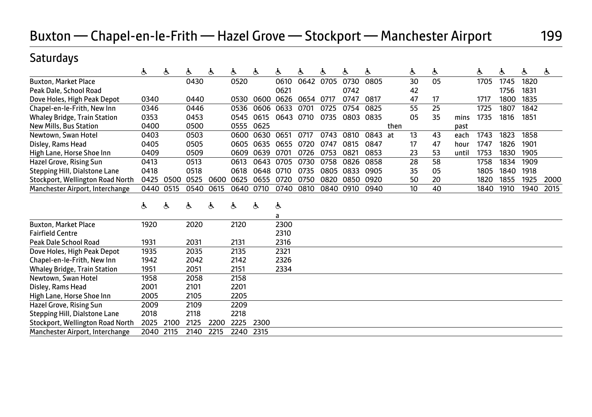# Buxton — Chapel-en-le-Frith — Hazel Grove — Stockport — Manchester Airport 199

### Saturdays

|                                     | ė.   | Ġ.   | ė.   | لح   | ė.   | ė.        | ė.      | க்   | க்   | ė.   | ė.   |      | Ġ. | ė. |       | Ġ.   | ė.   | க்   | ė.   |
|-------------------------------------|------|------|------|------|------|-----------|---------|------|------|------|------|------|----|----|-------|------|------|------|------|
| <b>Buxton, Market Place</b>         |      |      | 0430 |      | 0520 |           | 0610    | 0642 | 0705 | 0730 | 0805 |      | 30 | 05 |       | 1705 | 1745 | 1820 |      |
| Peak Dale, School Road              |      |      |      |      |      |           | 0621    |      |      | 0742 |      |      | 42 |    |       |      | 1756 | 1831 |      |
| Dove Holes, High Peak Depot         | 0340 |      | 0440 |      | 0530 | 0600      | 0626    | 0654 | 0717 | 0747 | 0817 |      | 47 | 17 |       | 1717 | 1800 | 1835 |      |
| Chapel-en-le-Frith, New Inn         | 0346 |      | 0446 |      | 0536 | 0606      | 0633    | 0701 | 0725 | 0754 | 0825 |      | 55 | 25 |       | 1725 | 1807 | 1842 |      |
| <b>Whaley Bridge, Train Station</b> | 0353 |      | 0453 |      | 0545 | 0615      | 0643    | 0710 | 0735 | 0803 | 0835 |      | 05 | 35 | mins  | 1735 | 1816 | 1851 |      |
| New Mills, Bus Station              | 0400 |      | 0500 |      | 0555 | 0625      |         |      |      |      |      | then |    |    | past  |      |      |      |      |
| Newtown, Swan Hotel                 | 0403 |      | 0503 |      | 0600 | 0630      | 0651    | 0717 | 0743 | 0810 | 0843 | at   | 13 | 43 | each  | 1743 | 1823 | 1858 |      |
| Disley, Rams Head                   | 0405 |      | 0505 |      | 0605 | 0635      | 0655    | 0720 | 0747 | 0815 | 0847 |      | 17 | 47 | hour  | 1747 | 1826 | 1901 |      |
| High Lane, Horse Shoe Inn           | 0409 |      | 0509 |      | 0609 | 0639      | 0701    | 0726 | 0753 | 0821 | 0853 |      | 23 | 53 | until | 1753 | 1830 | 1905 |      |
| Hazel Grove, Rising Sun             | 0413 |      | 0513 |      | 0613 | 0643      | 0705    | 0730 | 0758 | 0826 | 0858 |      | 28 | 58 |       | 1758 | 1834 | 1909 |      |
| Stepping Hill, Dialstone Lane       | 0418 |      | 0518 |      | 0618 | 0648 0710 |         | 0735 | 0805 | 0833 | 0905 |      | 35 | 05 |       | 1805 | 1840 | 1918 |      |
| Stockport, Wellington Road North    | 0425 | 0500 | 0525 | 0600 | 0625 | 0655      | 0720    | 0750 | 0820 | 0850 | 0920 |      | 50 | 20 |       | 1820 | 1855 | 1925 | 2000 |
| Manchester Airport, Interchange     | 0440 | 0515 | 0540 | 0615 | 0640 | 0710      | 0740    | 0810 | 0840 | 0910 | 0940 |      | 10 | 40 |       | 1840 | 1910 | 1940 | 2015 |
|                                     | ė.   | ሌ    | ė.   | Ġ.   | Ġ.   | Ġ.        | Ġ.<br>a |      |      |      |      |      |    |    |       |      |      |      |      |
| <b>Buxton, Market Place</b>         | 1920 |      | 2020 |      | 2120 |           | 2300    |      |      |      |      |      |    |    |       |      |      |      |      |
| <b>Fairfield Centre</b>             |      |      |      |      |      |           | 2310    |      |      |      |      |      |    |    |       |      |      |      |      |
| <b>Peak Dale School Road</b>        | 1931 |      | 2031 |      | 2131 |           | 2316    |      |      |      |      |      |    |    |       |      |      |      |      |
| Dove Holes, High Peak Depot         | 1935 |      | 2035 |      | 2135 |           | 2321    |      |      |      |      |      |    |    |       |      |      |      |      |
| Chapel-en-le-Frith, New Inn         | 1942 |      | 2042 |      | 2142 |           | 2326    |      |      |      |      |      |    |    |       |      |      |      |      |
| <b>Whaley Bridge, Train Station</b> | 1951 |      | 2051 |      | 2151 |           | 2334    |      |      |      |      |      |    |    |       |      |      |      |      |
| Newtown, Swan Hotel                 | 1958 |      | 2058 |      | 2158 |           |         |      |      |      |      |      |    |    |       |      |      |      |      |
| Disley, Rams Head                   | 2001 |      | 2101 |      | 2201 |           |         |      |      |      |      |      |    |    |       |      |      |      |      |
| High Lane, Horse Shoe Inn           | 2005 |      | 2105 |      | 2205 |           |         |      |      |      |      |      |    |    |       |      |      |      |      |
| Hazel Grove, Rising Sun             | 2009 |      | 2109 |      | 2209 |           |         |      |      |      |      |      |    |    |       |      |      |      |      |
| Stepping Hill, Dialstone Lane       | 2018 |      | 2118 |      | 2218 |           |         |      |      |      |      |      |    |    |       |      |      |      |      |
| Stockport, Wellington Road North    | 2025 | 2100 | 2125 | 2200 | 2225 | 2300      |         |      |      |      |      |      |    |    |       |      |      |      |      |
| Manchester Airport, Interchange     | 2040 | 2115 | 2140 | 2215 | 2240 | 2315      |         |      |      |      |      |      |    |    |       |      |      |      |      |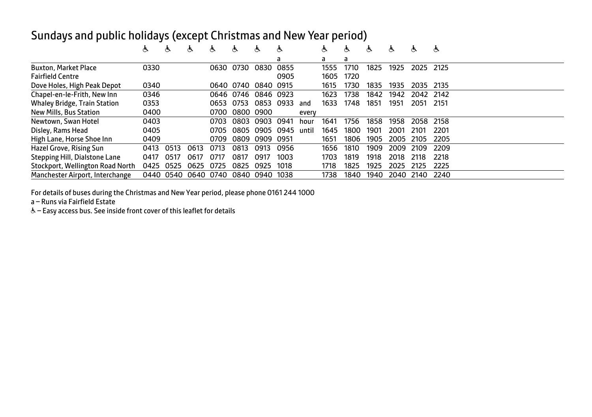### Sundays and public holidays (except Christmas and New Year period)

|                                  | Ġ.   | Ğ.   | Ġ.   | Ĝ.   | Ġ.        | ሌ         | Ĝ.   |       | க    | Ò.   | Ĝ.   | Ĝ.   | க    | க    |
|----------------------------------|------|------|------|------|-----------|-----------|------|-------|------|------|------|------|------|------|
|                                  |      |      |      |      |           |           | a    |       | a    | a    |      |      |      |      |
| <b>Buxton, Market Place</b>      | 0330 |      |      | 0630 | 0730      | 0830      | 0855 |       | 1555 | 1710 | 1825 | 1925 | 2025 | 2125 |
| <b>Fairfield Centre</b>          |      |      |      |      |           |           | 0905 |       | 1605 | 1720 |      |      |      |      |
| Dove Holes, High Peak Depot      | 0340 |      |      | 0640 | 0740      | 0840 0915 |      |       | 1615 | 1730 | 1835 | 1935 | 2035 | 2135 |
| Chapel-en-le-Frith, New Inn      | 0346 |      |      | 0646 | 0746      | 0846 0923 |      |       | 1623 | 1738 | 1842 | 1942 | 2042 | 2142 |
| Whaley Bridge, Train Station     | 0353 |      |      | 0653 | 0753      | 0853      | 0933 | and   | 1633 | 1748 | 1851 | 1951 | 2051 | 2151 |
| New Mills, Bus Station           | 0400 |      |      | 0700 | 0800 0900 |           |      | every |      |      |      |      |      |      |
| Newtown, Swan Hotel              | 0403 |      |      | 0703 | 0803      | 0903      | 0941 | hour  | 1641 | 1756 | 1858 | 1958 | 2058 | 2158 |
| Disley, Rams Head                | 0405 |      |      | 0705 | 0805      | 0905      | 0945 | until | 1645 | 1800 | 1901 | 2001 | 2101 | 2201 |
| High Lane, Horse Shoe Inn        | 0409 |      |      | 0709 | 0809      | 0909      | 0951 |       | 1651 | 1806 | 1905 | 2005 | 2105 | 2205 |
| Hazel Grove, Rising Sun          | 0413 | 0513 | 0613 | 0713 | 0813      | 0913      | 0956 |       | 1656 | 1810 | 1909 | 2009 | 2109 | 2209 |
| Stepping Hill, Dialstone Lane    | 0417 | 0517 | 0617 | 0717 | 0817      | 0917      | 1003 |       | 1703 | 1819 | 1918 | 2018 | 2118 | 2218 |
| Stockport, Wellington Road North | 0425 | 0525 | 0625 | 0725 | 0825      | 0925      | 1018 |       | 1718 | 1825 | 1925 | 2025 | 2125 | 2225 |
| Manchester Airport, Interchange  | 0440 | 0540 | 0640 | 0740 | 0840      | 0940      | 1038 |       | 1738 | 1840 | 1940 | 2040 | 2140 | 2240 |

For details of buses during the Christmas and New Year period, please phone 0161 244 1000

a – Runs via Fairfield Estate

& - Easy access bus. See inside front cover of this leaflet for details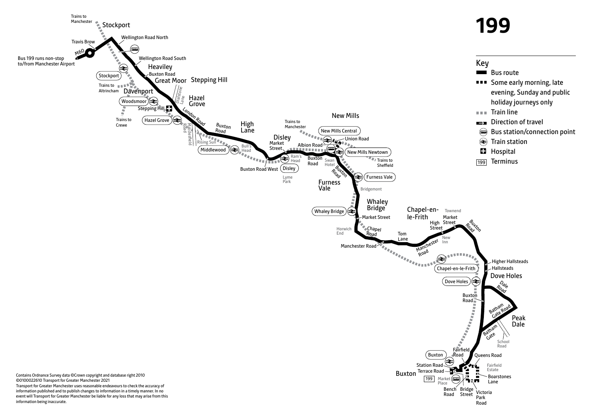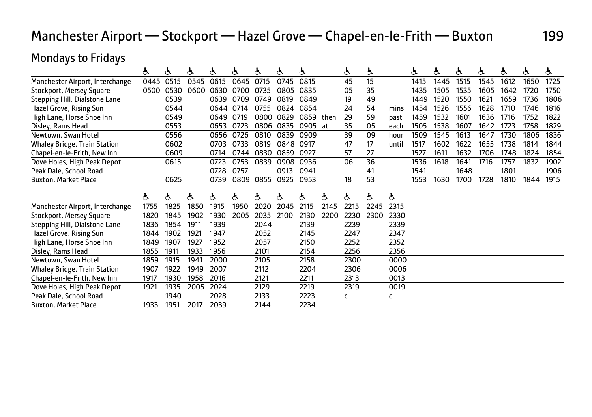# Manchester Airport — Stockport — Hazel Grove — Chapel-en-le-Frith — Buxton 199

| <b>Mondays to Fridays</b>           |      |      |      |      |      |      |      |      |      |      |      |       |      |      |      |      |      |      |      |
|-------------------------------------|------|------|------|------|------|------|------|------|------|------|------|-------|------|------|------|------|------|------|------|
|                                     | Ġ.   | Ġ.   | ė.   | ė.   | ড়   | ৬    | ৬    | ė    |      | Ġ.   | Ġ.   |       | 占    | ড়   | Ġ.   | ė.   | Ġ.   | Ġ.   | Ġ.   |
| Manchester Airport, Interchange     | 0445 | 0515 | 0545 | 0615 | 0645 | 0715 | 0745 | 0815 |      | 45   | 15   |       | 1415 | 1445 | 1515 | 1545 | 1612 | 1650 | 1725 |
| <b>Stockport, Mersey Square</b>     | 0500 | 0530 | 0600 | 0630 | 0700 | 0735 | 0805 | 0835 |      | 05   | 35   |       | 1435 | 1505 | 1535 | 1605 | 1642 | 1720 | 1750 |
| Stepping Hill, Dialstone Lane       |      | 0539 |      | 0639 | 0709 | 0749 | 0819 | 0849 |      | 19   | 49   |       | 1449 | 1520 | 1550 | 1621 | 1659 | 1736 | 1806 |
| Hazel Grove, Rising Sun             |      | 0544 |      | 0644 | 0714 | 0755 | 0824 | 0854 |      | 24   | 54   | mins  | 1454 | 1526 | 1556 | 1628 | 1710 | 1746 | 1816 |
| High Lane, Horse Shoe Inn           |      | 0549 |      | 0649 | 0719 | 0800 | 0829 | 0859 | then | 29   | 59   | past  | 1459 | 1532 | 1601 | 1636 | 1716 | 1752 | 1822 |
| Disley, Rams Head                   |      | 0553 |      | 0653 | 0723 | 0806 | 0835 | 0905 | at   | 35   | 05   | each  | 1505 | 1538 | 1607 | 1642 | 1723 | 1758 | 1829 |
| Newtown, Swan Hotel                 |      | 0556 |      | 0656 | 0726 | 0810 | 0839 | 0909 |      | 39   | 09   | hour  | 1509 | 1545 | 1613 | 1647 | 1730 | 1806 | 1836 |
| <b>Whaley Bridge, Train Station</b> |      | 0602 |      | 0703 | 0733 | 0819 | 0848 | 0917 |      | 47   | 17   | until | 1517 | 1602 | 1622 | 1655 | 1738 | 1814 | 1844 |
| Chapel-en-le-Frith, New Inn         |      | 0609 |      | 0714 | 0744 | 0830 | 0859 | 0927 |      | 57   | 27   |       | 1527 | 1611 | 1632 | 1706 | 1748 | 1824 | 1854 |
| Dove Holes, High Peak Depot         |      | 0615 |      | 0723 | 0753 | 0839 | 0908 | 0936 |      | 06   | 36   |       | 1536 | 1618 | 1641 | 1716 | 1757 | 1832 | 1902 |
| Peak Dale, School Road              |      |      |      | 0728 | 0757 |      | 0913 | 0941 |      |      | 41   |       | 1541 |      | 1648 |      | 1801 |      | 1906 |
| <b>Buxton, Market Place</b>         |      | 0625 |      | 0739 | 0809 | 0855 | 0925 | 0953 |      | 18   | 53   |       | 1553 | 1630 | 1700 | 1728 | 1810 | 1844 | 1915 |
|                                     |      |      |      |      |      |      |      |      |      |      |      |       |      |      |      |      |      |      |      |
|                                     | Ġ.   | Ġ.   | க்   | Ġ.   | Ġ.   | ড়   | Ġ.   | Ġ.   | ė.   | Ġ.   | க்   | Ġ.    |      |      |      |      |      |      |      |
| Manchester Airport, Interchange     | 1755 | 1825 | 1850 | 1915 | 1950 | 2020 | 2045 | 2115 | 2145 | 2215 | 2245 | 2315  |      |      |      |      |      |      |      |
| <b>Stockport, Mersey Square</b>     | 1820 | 1845 | 1902 | 1930 | 2005 | 2035 | 2100 | 2130 | 2200 | 2230 | 2300 | 2330  |      |      |      |      |      |      |      |
| Stepping Hill, Dialstone Lane       | 1836 | 1854 | 1911 | 1939 |      | 2044 |      | 2139 |      | 2239 |      | 2339  |      |      |      |      |      |      |      |
| Hazel Grove, Rising Sun             | 1844 | 1902 | 1921 | 1947 |      | 2052 |      | 2145 |      | 2247 |      | 2347  |      |      |      |      |      |      |      |
| High Lane, Horse Shoe Inn           | 1849 | 1907 | 1927 | 1952 |      | 2057 |      | 2150 |      | 2252 |      | 2352  |      |      |      |      |      |      |      |
| Disley, Rams Head                   | 1855 | 1911 | 1933 | 1956 |      | 2101 |      | 2154 |      | 2256 |      | 2356  |      |      |      |      |      |      |      |
| Newtown, Swan Hotel                 | 1859 | 1915 | 1941 | 2000 |      | 2105 |      | 2158 |      | 2300 |      | 0000  |      |      |      |      |      |      |      |
| <b>Whaley Bridge, Train Station</b> | 1907 | 1922 | 1949 | 2007 |      | 2112 |      | 2204 |      | 2306 |      | 0006  |      |      |      |      |      |      |      |
| Chapel-en-le-Frith, New Inn         | 1917 | 1930 | 1958 | 2016 |      | 2121 |      | 2211 |      | 2313 |      | 0013  |      |      |      |      |      |      |      |
| Dove Holes, High Peak Depot         | 1921 | 1935 | 2005 | 2024 |      | 2129 |      | 2219 |      | 2319 |      | 0019  |      |      |      |      |      |      |      |
| Peak Dale, School Road              |      | 1940 |      | 2028 |      | 2133 |      | 2223 |      | c    |      | c     |      |      |      |      |      |      |      |
| <b>Buxton, Market Place</b>         | 1933 | 1951 | 2017 | 2039 |      | 2144 |      | 2234 |      |      |      |       |      |      |      |      |      |      |      |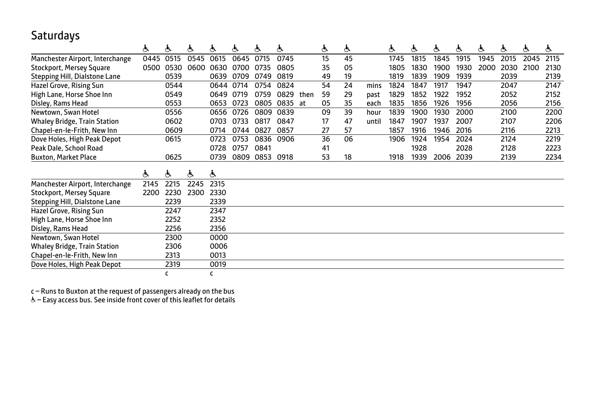### **Saturdays**

|                                     | ė.   | Ġ.   | Ġ.   | ৬    | ఉ    | ৬    | ė.   |      | Ġ. | Ġ. |       | ė.   | Ġ.   | Ġ.   | Ġ.   | Ġ.   | Ġ.   | Ġ.   | க்   |
|-------------------------------------|------|------|------|------|------|------|------|------|----|----|-------|------|------|------|------|------|------|------|------|
| Manchester Airport, Interchange     | 0445 | 0515 | 0545 | 0615 | 0645 | 0715 | 0745 |      | 15 | 45 |       | 1745 | 1815 | 1845 | 1915 | 1945 | 2015 | 2045 | 2115 |
| Stockport, Mersey Square            | 0500 | 0530 | 0600 | 0630 | 0700 | 0735 | 0805 |      | 35 | 05 |       | 1805 | 1830 | 1900 | 1930 | 2000 | 2030 | 2100 | 2130 |
| Stepping Hill, Dialstone Lane       |      | 0539 |      | 0639 | 0709 | 0749 | 0819 |      | 49 | 19 |       | 1819 | 1839 | 1909 | 1939 |      | 2039 |      | 2139 |
| Hazel Grove, Rising Sun             |      | 0544 |      | 0644 | 0714 | 0754 | 0824 |      | 54 | 24 | mins  | 1824 | 1847 | 1917 | 1947 |      | 2047 |      | 2147 |
| High Lane, Horse Shoe Inn           |      | 0549 |      | 0649 | 0719 | 0759 | 0829 | then | 59 | 29 | past  | 1829 | 1852 | 1922 | 1952 |      | 2052 |      | 2152 |
| Disley, Rams Head                   |      | 0553 |      | 0653 | 0723 | 0805 | 0835 | at   | 05 | 35 | each  | 1835 | 1856 | 1926 | 1956 |      | 2056 |      | 2156 |
| Newtown, Swan Hotel                 |      | 0556 |      | 0656 | 0726 | 0809 | 0839 |      | 09 | 39 | hour  | 1839 | 1900 | 1930 | 2000 |      | 2100 |      | 2200 |
| <b>Whaley Bridge, Train Station</b> |      | 0602 |      | 0703 | 0733 | 0817 | 0847 |      | 17 | 47 | until | 1847 | 1907 | 1937 | 2007 |      | 2107 |      | 2206 |
| Chapel-en-le-Frith, New Inn         |      | 0609 |      | 0714 | 0744 | 0827 | 0857 |      | 27 | 57 |       | 1857 | 1916 | 1946 | 2016 |      | 2116 |      | 2213 |
| Dove Holes, High Peak Depot         |      | 0615 |      | 0723 | 0753 | 0836 | 0906 |      | 36 | 06 |       | 1906 | 1924 | 1954 | 2024 |      | 2124 |      | 2219 |
| Peak Dale, School Road              |      |      |      | 0728 | 0757 | 0841 |      |      | 41 |    |       |      | 1928 |      | 2028 |      | 2128 |      | 2223 |
| <b>Buxton, Market Place</b>         |      | 0625 |      | 0739 | 0809 | 0853 | 0918 |      | 53 | 18 |       | 1918 | 1939 | 2006 | 2039 |      | 2139 |      | 2234 |
|                                     |      |      |      |      |      |      |      |      |    |    |       |      |      |      |      |      |      |      |      |
|                                     | ė.   | Ġ.   | Ġ.   | Ġ.   |      |      |      |      |    |    |       |      |      |      |      |      |      |      |      |
| Manchester Airport, Interchange     | 2145 | 2215 | 2245 | 2315 |      |      |      |      |    |    |       |      |      |      |      |      |      |      |      |
| Stockport, Mersey Square            | 2200 | 2230 | 2300 | 2330 |      |      |      |      |    |    |       |      |      |      |      |      |      |      |      |
| Stepping Hill, Dialstone Lane       |      | 2239 |      | 2339 |      |      |      |      |    |    |       |      |      |      |      |      |      |      |      |
| Hazel Grove, Rising Sun             |      | 2247 |      | 2347 |      |      |      |      |    |    |       |      |      |      |      |      |      |      |      |
| High Lane, Horse Shoe Inn           |      | 2252 |      | 2352 |      |      |      |      |    |    |       |      |      |      |      |      |      |      |      |
| Disley, Rams Head                   |      | 2256 |      | 2356 |      |      |      |      |    |    |       |      |      |      |      |      |      |      |      |
| Newtown, Swan Hotel                 |      | 2300 |      | 0000 |      |      |      |      |    |    |       |      |      |      |      |      |      |      |      |
| <b>Whaley Bridge, Train Station</b> |      | 2306 |      | 0006 |      |      |      |      |    |    |       |      |      |      |      |      |      |      |      |
| Chapel-en-le-Frith, New Inn         |      | 2313 |      | 0013 |      |      |      |      |    |    |       |      |      |      |      |      |      |      |      |
| Dove Holes, High Peak Depot         |      | 2319 |      | 0019 |      |      |      |      |    |    |       |      |      |      |      |      |      |      |      |
|                                     |      | c    |      | c    |      |      |      |      |    |    |       |      |      |      |      |      |      |      |      |

c – Runs to Buxton at the request of passengers already on the bus

 $\stackrel{\text{\tiny d}}{\text{\tiny o}}$  – Easy access bus. See inside front cover of this leaflet for details